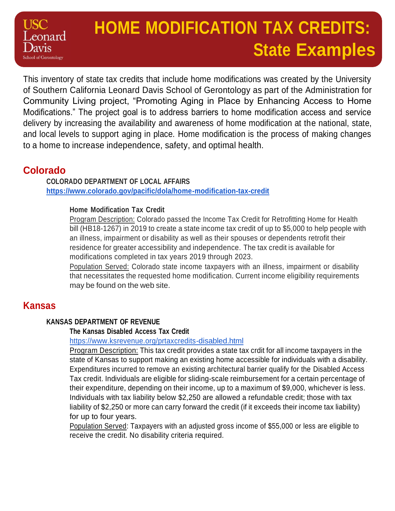# **HOME MODIFICATION TAX CREDITS: State Examples**

This inventory of state tax credits that include home modifications was created by the University of Southern California Leonard Davis School of Gerontology as part of the Administration for Community Living project, "Promoting Aging in Place by Enhancing Access to Home Modifications." The project goal is to address barriers to home modification access and service delivery by increasing the availability and awareness of home modification at the national, state, and local levels to support aging in place. Home modification is the process of making changes to a home to increase independence, safety, and optimal health.

## **Colorado**

ronard

chool of Gerontology

**COLORADO DEPARTMENT OF LOCAL AFFAIRS <https://www.colorado.gov/pacific/dola/home-modification-tax-credit>**

#### **Home Modification Tax Credit**

Program Description: Colorado passed the Income Tax Credit for Retrofitting Home for Health bill (HB18-1267) in 2019 to create a state income tax credit of up to \$5,000 to help people with an illness, impairment or disability as well as their spouses or dependents retrofit their residence for greater accessibility and independence. The tax credit is available for modifications completed in tax years 2019 through 2023.

Population Served: Colorado state income taxpayers with an illness, impairment or disability that necessitates the requested home modification. Current income eligibility requirements may be found on the web site.

## **Kansas**

#### **KANSAS DEPARTMENT OF REVENUE**

#### **The Kansas Disabled Access Tax Credit**

<https://www.ksrevenue.org/prtaxcredits-disabled.html>

Program Description: This tax credit provides a state tax crdit for all income taxpayers in the state of Kansas to support making an existing home accessible for individuals with a disability. Expenditures incurred to remove an existing architectural barrier qualify for the Disabled Access Tax credit. Individuals are eligible for sliding-scale reimbursement for a certain percentage of their expenditure, depending on their income, up to a maximum of \$9,000, whichever is less. Individuals with tax liability below \$2,250 are allowed a refundable credit; those with tax liability of \$2,250 or more can carry forward the credit (if it exceeds their income tax liability) for up to four years.

Population Served: Taxpayers with an adjusted gross income of \$55,000 or less are eligible to receive the credit. No disability criteria required.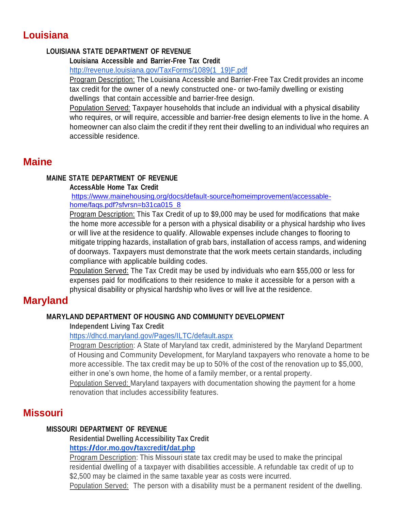## **Louisiana**

#### **LOUISIANA STATE DEPARTMENT OF REVENUE**

#### **Louisiana Accessible and Barrier-Free Tax Credit**

[http://revenue.louisiana.gov/TaxForms/1089\(1\\_19\)F.pdf](http://revenue.louisiana.gov/TaxForms/1089(1_19)F.pdf)

Program Description: The Louisiana Accessible and Barrier-Free Tax Credit provides an income tax credit for the owner of a newly constructed one- or two-family dwelling or existing dwellings that contain accessible and barrier-free design.

Population Served: Taxpayer households that include an individual with a physical disability who requires, or will require, accessible and barrier-free design elements to live in the home. A homeowner can also claim the credit if they rent their dwelling to an individual who requires an accessible residence.

## **Maine**

#### **MAINE STATE DEPARTMENT OF REVENUE**

#### **AccessAble Home Tax Credit**

[https://www.mainehousing.org/docs/default-source/homeimprovement/accessable](https://www.mainehousing.org/docs/default-source/homeimprovement/accessable-home/faqs.pdf?sfvrsn=b31ca015_8)[home/faqs.pdf?sfvrsn=b31ca015\\_8](https://www.mainehousing.org/docs/default-source/homeimprovement/accessable-home/faqs.pdf?sfvrsn=b31ca015_8)

Program Description: This Tax Credit of up to \$9,000 may be used for modifications that make the home more *accessible* for a person with a physical disability or a physical hardship who lives or will live at the residence to qualify. Allowable expenses include changes to flooring to mitigate tripping hazards, installation of grab bars, installation of access ramps, and widening of doorways. Taxpayers must demonstrate that the work meets certain standards, including compliance with applicable building codes.

Population Served: The Tax Credit may be used by individuals who earn \$55,000 or less for expenses paid for modifications to their residence to make it accessible for a person with a physical disability or physical hardship who lives or will live at the residence.

## **Maryland**

#### **MARYLAND DEPARTMENT OF HOUSING AND COMMUNITY DEVELOPMENT**

#### **Independent Living Tax Credit**

#### <https://dhcd.maryland.gov/Pages/ILTC/default.aspx>

Program Description: A State of Maryland tax credit, administered by the Maryland Department of Housing and Community Development, for Maryland taxpayers who renovate a home to be more accessible. The tax credit may be up to 50% of the cost of the renovation up to \$5,000, either in one's own home, the home of a family member, or a rental property.

Population Served: Maryland taxpayers with documentation showing the payment for a home renovation that includes accessibility features.

## **Missouri**

#### **MISSOURI DEPARTMENT OF REVENUE**

## **Residential Dwelling Accessibility Tax Credit**

### **<https://dor.mo.gov/taxcredit/dat.php>**

Program Description: This Missouri state tax credit may be used to make the principal residential dwelling of a taxpayer with disabilities accessible. A refundable tax credit of up to \$2,500 may be claimed in the same taxable year as costs were incurred.

Population Served: The person with a disability must be a permanent resident of the dwelling.